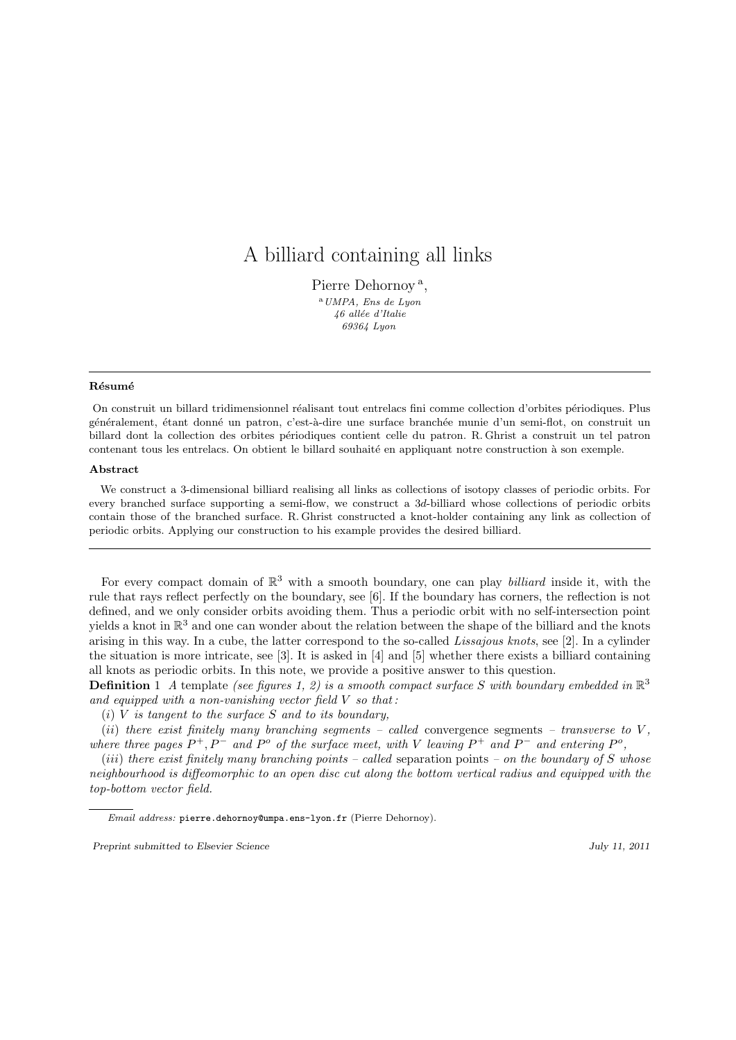# A billiard containing all links

Pierre Dehornoy<sup>a</sup>,  $^{\rm a}$  UMPA, Ens de Lyon  $46\,$ allée $\,d\,{}'Italie$ 69364 Lyon

#### **Résumé**

On construit un billard tridimensionnel réalisant tout entrelacs fini comme collection d'orbites périodiques. Plus généralement, étant donné un patron, c'est-à-dire une surface branchée munie d'un semi-flot, on construit un billard dont la collection des orbites p´eriodiques contient celle du patron. R. Ghrist a construit un tel patron contenant tous les entrelacs. On obtient le billard souhaité en appliquant notre construction à son exemple.

#### Abstract

We construct a 3-dimensional billiard realising all links as collections of isotopy classes of periodic orbits. For every branched surface supporting a semi-flow, we construct a 3d-billiard whose collections of periodic orbits contain those of the branched surface. R. Ghrist constructed a knot-holder containing any link as collection of periodic orbits. Applying our construction to his example provides the desired billiard.

For every compact domain of  $\mathbb{R}^3$  with a smooth boundary, one can play *billiard* inside it, with the rule that rays reflect perfectly on the boundary, see [6]. If the boundary has corners, the reflection is not defined, and we only consider orbits avoiding them. Thus a periodic orbit with no self-intersection point yields a knot in  $\mathbb{R}^3$  and one can wonder about the relation between the shape of the billiard and the knots arising in this way. In a cube, the latter correspond to the so-called Lissajous knots, see [2]. In a cylinder the situation is more intricate, see [3]. It is asked in [4] and [5] whether there exists a billiard containing all knots as periodic orbits. In this note, we provide a positive answer to this question.

**Definition** 1 A template (see figures 1, 2) is a smooth compact surface S with boundary embedded in  $\mathbb{R}^3$ and equipped with a non-vanishing vector field  $V$  so that:

(i)  $V$  is tangent to the surface  $S$  and to its boundary,

(ii) there exist finitely many branching segments – called convergence segments – transverse to  $V$ , where three pages  $P^+, P^-$  and  $P^o$  of the surface meet, with V leaving  $P^+$  and  $P^-$  and entering  $P^o$ ,

(iii) there exist finitely many branching points – called separation points – on the boundary of S whose neighbourhood is diffeomorphic to an open disc cut along the bottom vertical radius and equipped with the top-bottom vector field.

Email address: pierre.dehornoy@umpa.ens-lyon.fr (Pierre Dehornoy).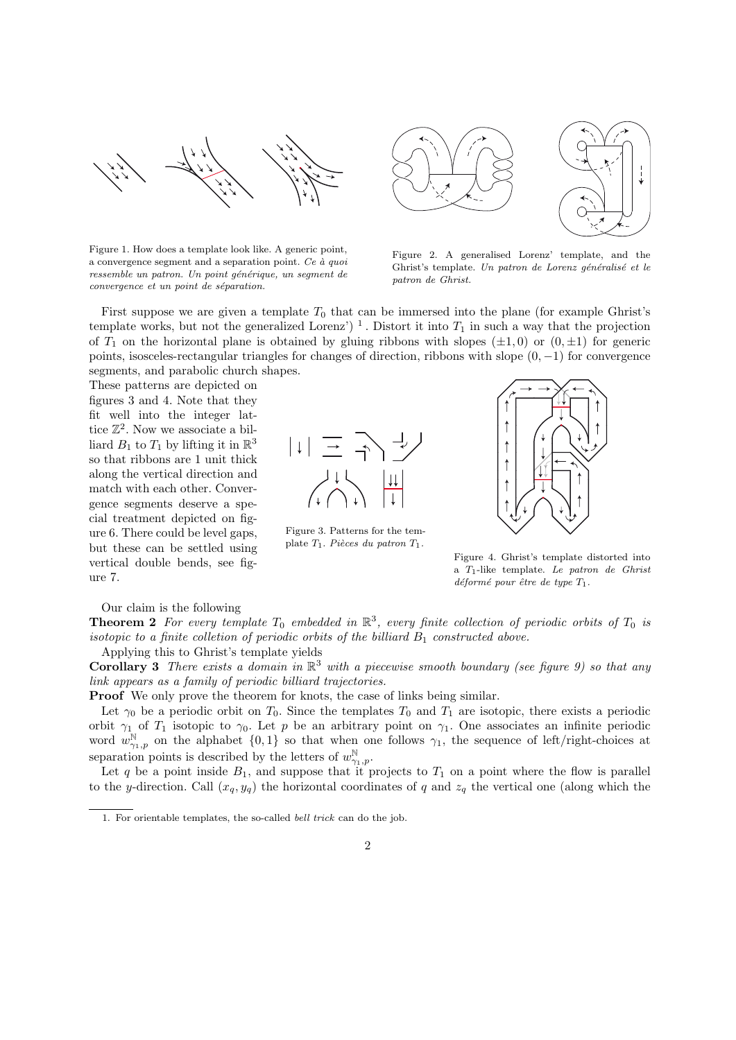

Figure 1. How does a template look like. A generic point, a convergence segment and a separation point. Ce  $\dot{a}$  quoi ressemble un patron. Un point générique, un segment de  $convergence$  et un point de séparation.



Figure 2. A generalised Lorenz' template, and the Ghrist's template. Un patron de Lorenz généralisé et le patron de Ghrist.

First suppose we are given a template  $T_0$  that can be immersed into the plane (for example Ghrist's template works, but not the generalized Lorenz')<sup>1</sup>. Distort it into  $T_1$  in such a way that the projection of  $T_1$  on the horizontal plane is obtained by gluing ribbons with slopes  $(\pm 1, 0)$  or  $(0, \pm 1)$  for generic points, isosceles-rectangular triangles for changes of direction, ribbons with slope  $(0, -1)$  for convergence segments, and parabolic church shapes.

These patterns are depicted on figures 3 and 4. Note that they fit well into the integer lattice  $\mathbb{Z}^2$ . Now we associate a billiard  $B_1$  to  $T_1$  by lifting it in  $\mathbb{R}^3$ so that ribbons are 1 unit thick along the vertical direction and match with each other. Convergence segments deserve a special treatment depicted on figure 6. There could be level gaps, but these can be settled using vertical double bends, see figure 7.



Figure 3. Patterns for the template  $T_1$ . Pièces du patron  $T_1$ .



Figure 4. Ghrist's template distorted into a T1-like template. Le patron de Ghrist  $d\acute{e}form\acute{e} pour \acute{e}tre de type T_1.$ 

Our claim is the following

**Theorem 2** For every template  $T_0$  embedded in  $\mathbb{R}^3$ , every finite collection of periodic orbits of  $T_0$  is isotopic to a finite colletion of periodic orbits of the billiard  $B_1$  constructed above. Applying this to Ghrist's template yields

**Corollary 3** There exists a domain in  $\mathbb{R}^3$  with a piecewise smooth boundary (see figure 9) so that any link appears as a family of periodic billiard trajectories.

Proof We only prove the theorem for knots, the case of links being similar.

Let  $\gamma_0$  be a periodic orbit on  $T_0$ . Since the templates  $T_0$  and  $T_1$  are isotopic, there exists a periodic orbit  $\gamma_1$  of  $T_1$  isotopic to  $\gamma_0$ . Let p be an arbitrary point on  $\gamma_1$ . One associates an infinite periodic word  $w_{\gamma_1,p}^{\mathbb{N}}$  on the alphabet  $\{0,1\}$  so that when one follows  $\gamma_1$ , the sequence of left/right-choices at separation points is described by the letters of  $w_{\gamma_1,p}^{\mathbb{N}}$ .

Let q be a point inside  $B_1$ , and suppose that it projects to  $T_1$  on a point where the flow is parallel to the y-direction. Call  $(x_q, y_q)$  the horizontal coordinates of q and  $z_q$  the vertical one (along which the

<sup>1.</sup> For orientable templates, the so-called bell trick can do the job.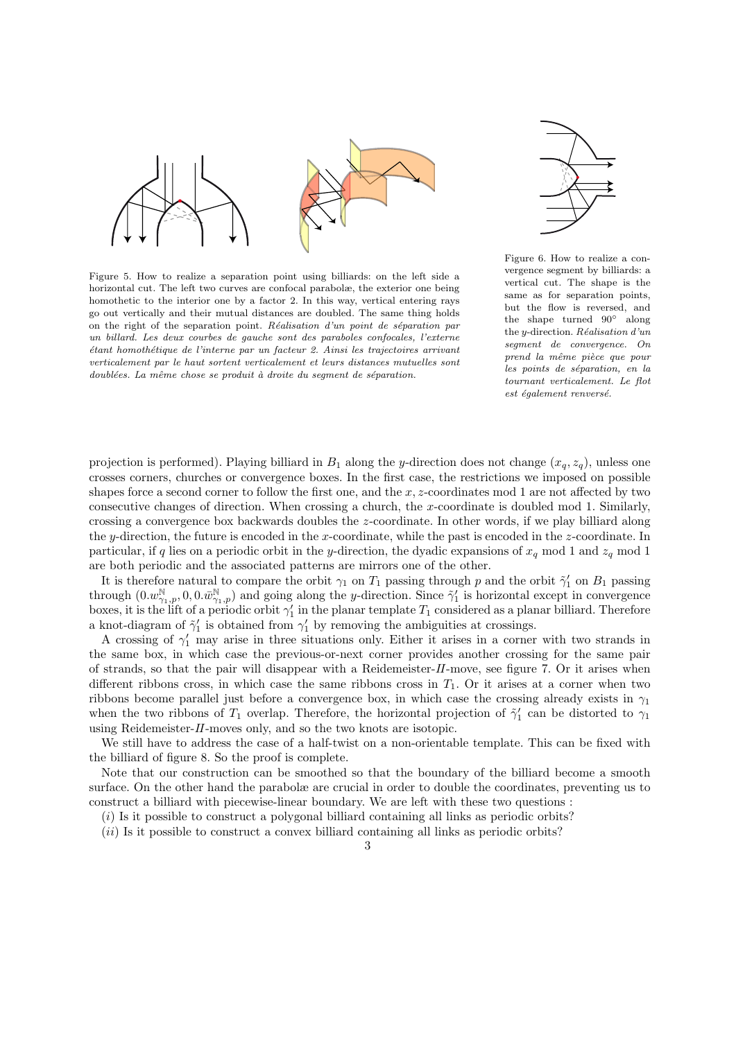

Figure 5. How to realize a separation point using billiards: on the left side a horizontal cut. The left two curves are confocal parabolæ, the exterior one being homothetic to the interior one by a factor 2. In this way, vertical entering rays go out vertically and their mutual distances are doubled. The same thing holds on the right of the separation point. Réalisation d'un point de séparation par un billard. Les deux courbes de gauche sont des paraboles confocales, l'externe ´etant homoth´etique de l'interne par un facteur 2. Ainsi les trajectoires arrivant verticalement par le haut sortent verticalement et leurs distances mutuelles sont  $doublées.$  La même chose se produit à droite du segment de séparation.



Figure 6. How to realize a convergence segment by billiards: a vertical cut. The shape is the same as for separation points, but the flow is reversed, and the shape turned 90◦ along the y-direction. Réalisation d'un segment de convergence. On prend la même pièce que pour les points de séparation, en la tournant verticalement. Le flot est également renversé.

projection is performed). Playing billiard in  $B_1$  along the y-direction does not change  $(x_q, z_q)$ , unless one crosses corners, churches or convergence boxes. In the first case, the restrictions we imposed on possible shapes force a second corner to follow the first one, and the  $x, z$ -coordinates mod 1 are not affected by two consecutive changes of direction. When crossing a church, the x-coordinate is doubled mod 1. Similarly, crossing a convergence box backwards doubles the z-coordinate. In other words, if we play billiard along the y-direction, the future is encoded in the x-coordinate, while the past is encoded in the  $z$ -coordinate. In particular, if q lies on a periodic orbit in the y-direction, the dyadic expansions of  $x_q$  mod 1 and  $z_q$  mod 1 are both periodic and the associated patterns are mirrors one of the other.

It is therefore natural to compare the orbit  $\gamma_1$  on  $T_1$  passing through p and the orbit  $\tilde{\gamma}'_1$  on  $B_1$  passing through  $(0.w_{\gamma_1,p}^{\mathbb{N}}, 0, 0.w_{\gamma_1,p}^{\mathbb{N}})$  and going along the y-direction. Since  $\tilde{\gamma}'_1$  is horizontal except in convergence boxes, it is the lift of a periodic orbit  $\gamma'_1$  in the planar template  $T_1$  considered as a planar billiard. Therefore a knot-diagram of  $\tilde{\gamma}'_1$  is obtained from  $\gamma'_1$  by removing the ambiguities at crossings.

A crossing of  $\gamma'_1$  may arise in three situations only. Either it arises in a corner with two strands in the same box, in which case the previous-or-next corner provides another crossing for the same pair of strands, so that the pair will disappear with a Reidemeister-II-move, see figure 7. Or it arises when different ribbons cross, in which case the same ribbons cross in  $T_1$ . Or it arises at a corner when two ribbons become parallel just before a convergence box, in which case the crossing already exists in  $\gamma_1$ when the two ribbons of  $T_1$  overlap. Therefore, the horizontal projection of  $\tilde{\gamma}'_1$  can be distorted to  $\gamma_1$ using Reidemeister-II-moves only, and so the two knots are isotopic.

We still have to address the case of a half-twist on a non-orientable template. This can be fixed with the billiard of figure 8. So the proof is complete.

Note that our construction can be smoothed so that the boundary of the billiard become a smooth surface. On the other hand the parabolæ are crucial in order to double the coordinates, preventing us to construct a billiard with piecewise-linear boundary. We are left with these two questions :

 $(i)$  Is it possible to construct a polygonal billiard containing all links as periodic orbits?

 $(ii)$  Is it possible to construct a convex billiard containing all links as periodic orbits?